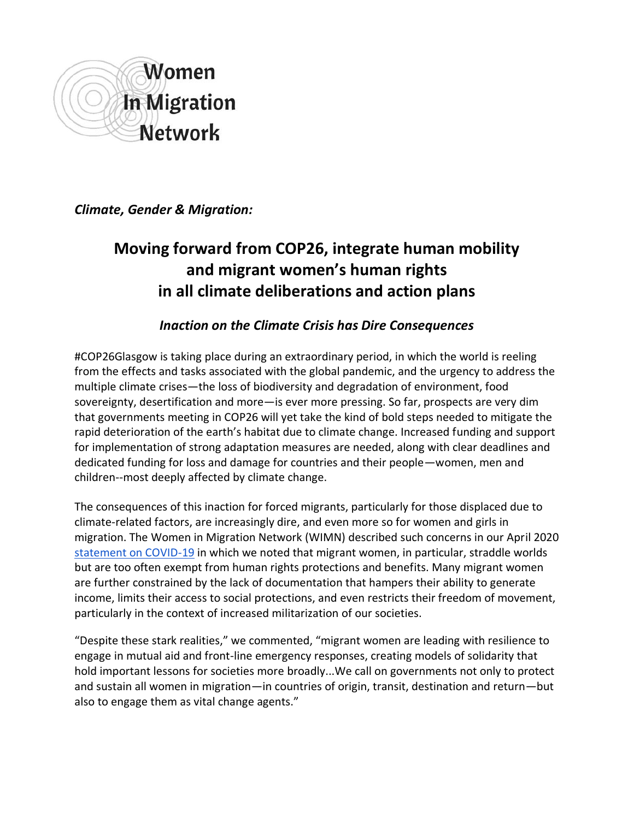

*Climate, Gender & Migration:* 

# **Moving forward from COP26, integrate human mobility and migrant women's human rights in all climate deliberations and action plans**

## *Inaction on the Climate Crisis has Dire Consequences*

#COP26Glasgow is taking place during an extraordinary period, in which the world is reeling from the effects and tasks associated with the global pandemic, and the urgency to address the multiple climate crises—the loss of biodiversity and degradation of environment, food sovereignty, desertification and more—is ever more pressing. So far, prospects are very dim that governments meeting in COP26 will yet take the kind of bold steps needed to mitigate the rapid deterioration of the earth's habitat due to climate change. Increased funding and support for implementation of strong adaptation measures are needed, along with clear deadlines and dedicated funding for loss and damage for countries and their people—women, men and children--most deeply affected by climate change.

The consequences of this inaction for forced migrants, particularly for those displaced due to climate-related factors, are increasingly dire, and even more so for women and girls in migration. The Women in Migration Network (WIMN) described such concerns in our April 2020 [statement on COVID-19](https://womeninmigration.org/2020/04/wimns-statement-on-the-covid-crisis/) in which we noted that migrant women, in particular, straddle worlds but are too often exempt from human rights protections and benefits. Many migrant women are further constrained by the lack of documentation that hampers their ability to generate income, limits their access to social protections, and even restricts their freedom of movement, particularly in the context of increased militarization of our societies.

"Despite these stark realities," we commented, "migrant women are leading with resilience to engage in mutual aid and front-line emergency responses, creating models of solidarity that hold important lessons for societies more broadly...We call on governments not only to protect and sustain all women in migration—in countries of origin, transit, destination and return—but also to engage them as vital change agents."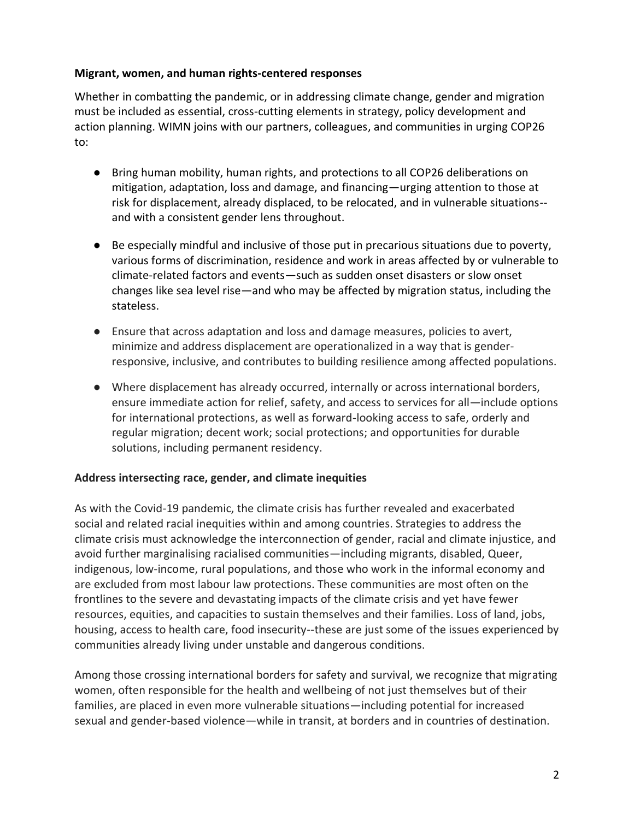#### **Migrant, women, and human rights-centered responses**

Whether in combatting the pandemic, or in addressing climate change, gender and migration must be included as essential, cross-cutting elements in strategy, policy development and action planning. WIMN joins with our partners, colleagues, and communities in urging COP26 to:

- Bring human mobility, human rights, and protections to all COP26 deliberations on mitigation, adaptation, loss and damage, and financing—urging attention to those at risk for displacement, already displaced, to be relocated, and in vulnerable situations- and with a consistent gender lens throughout.
- Be especially mindful and inclusive of those put in precarious situations due to poverty, various forms of discrimination, residence and work in areas affected by or vulnerable to climate-related factors and events—such as sudden onset disasters or slow onset changes like sea level rise—and who may be affected by migration status, including the stateless.
- Ensure that across adaptation and loss and damage measures, policies to avert, minimize and address displacement are operationalized in a way that is genderresponsive, inclusive, and contributes to building resilience among affected populations.
- Where displacement has already occurred, internally or across international borders, ensure immediate action for relief, safety, and access to services for all—include options for international protections, as well as forward-looking access to safe, orderly and regular migration; decent work; social protections; and opportunities for durable solutions, including permanent residency.

#### **Address intersecting race, gender, and climate inequities**

As with the Covid-19 pandemic, the climate crisis has further revealed and exacerbated social and related racial inequities within and among countries. Strategies to address the climate crisis must acknowledge the interconnection of gender, racial and climate injustice, and avoid further marginalising racialised communities—including migrants, disabled, Queer, indigenous, low-income, rural populations, and those who work in the informal economy and are excluded from most labour law protections. These communities are most often on the frontlines to the severe and devastating impacts of the climate crisis and yet have fewer resources, equities, and capacities to sustain themselves and their families. Loss of land, jobs, housing, access to health care, food insecurity--these are just some of the issues experienced by communities already living under unstable and dangerous conditions.

Among those crossing international borders for safety and survival, we recognize that migrating women, often responsible for the health and wellbeing of not just themselves but of their families, are placed in even more vulnerable situations—including potential for increased sexual and gender-based violence—while in transit, at borders and in countries of destination.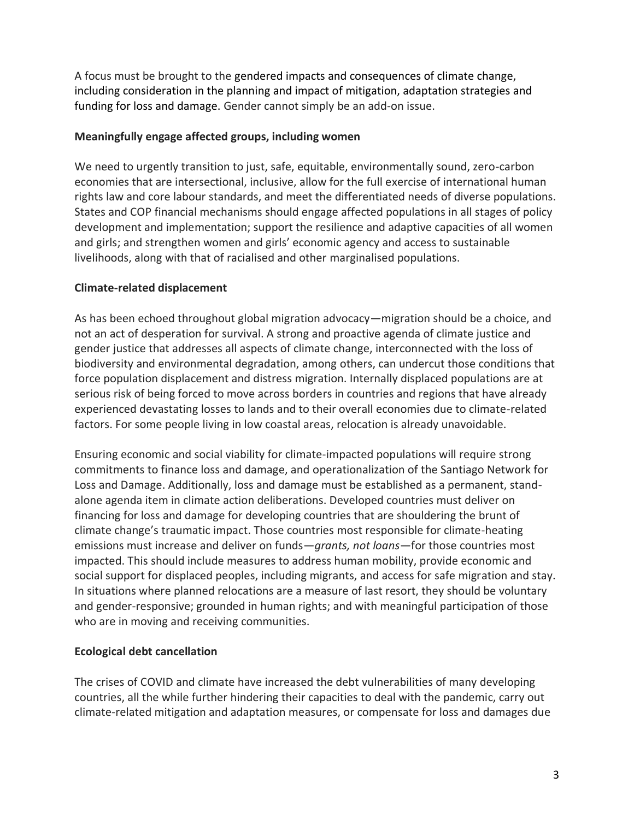A focus must be brought to the gendered impacts and consequences of climate change, including consideration in the planning and impact of mitigation, adaptation strategies and funding for loss and damage. Gender cannot simply be an add-on issue.

#### **Meaningfully engage affected groups, including women**

We need to urgently transition to just, safe, equitable, environmentally sound, zero-carbon economies that are intersectional, inclusive, allow for the full exercise of international human rights law and core labour standards, and meet the differentiated needs of diverse populations. States and COP financial mechanisms should engage affected populations in all stages of policy development and implementation; support the resilience and adaptive capacities of all women and girls; and strengthen women and girls' economic agency and access to sustainable livelihoods, along with that of racialised and other marginalised populations.

#### **Climate-related displacement**

As has been echoed throughout global migration advocacy—migration should be a choice, and not an act of desperation for survival. A strong and proactive agenda of climate justice and gender justice that addresses all aspects of climate change, interconnected with the loss of biodiversity and environmental degradation, among others, can undercut those conditions that force population displacement and distress migration. Internally displaced populations are at serious risk of being forced to move across borders in countries and regions that have already experienced devastating losses to lands and to their overall economies due to climate-related factors. For some people living in low coastal areas, relocation is already unavoidable.

Ensuring economic and social viability for climate-impacted populations will require strong commitments to finance loss and damage, and operationalization of the Santiago Network for Loss and Damage. Additionally, loss and damage must be established as a permanent, standalone agenda item in climate action deliberations. Developed countries must deliver on financing for loss and damage for developing countries that are shouldering the brunt of climate change's traumatic impact. Those countries most responsible for climate-heating emissions must increase and deliver on funds—*grants, not loans*—for those countries most impacted. This should include measures to address human mobility, provide economic and social support for displaced peoples, including migrants, and access for safe migration and stay. In situations where planned relocations are a measure of last resort, they should be voluntary and gender-responsive; grounded in human rights; and with meaningful participation of those who are in moving and receiving communities.

### **Ecological debt cancellation**

The crises of COVID and climate have increased the debt vulnerabilities of many developing countries, all the while further hindering their capacities to deal with the pandemic, carry out climate-related mitigation and adaptation measures, or compensate for loss and damages due